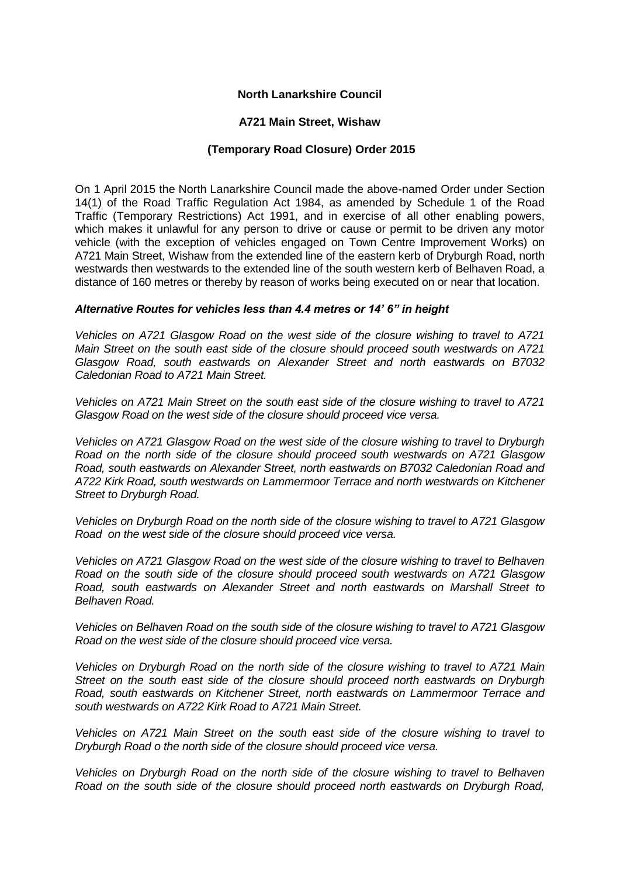## **North Lanarkshire Council**

#### **A721 Main Street, Wishaw**

# **(Temporary Road Closure) Order 2015**

On 1 April 2015 the North Lanarkshire Council made the above-named Order under Section 14(1) of the Road Traffic Regulation Act 1984, as amended by Schedule 1 of the Road Traffic (Temporary Restrictions) Act 1991, and in exercise of all other enabling powers, which makes it unlawful for any person to drive or cause or permit to be driven any motor vehicle (with the exception of vehicles engaged on Town Centre Improvement Works) on A721 Main Street, Wishaw from the extended line of the eastern kerb of Dryburgh Road, north westwards then westwards to the extended line of the south western kerb of Belhaven Road, a distance of 160 metres or thereby by reason of works being executed on or near that location.

## *Alternative Routes for vehicles less than 4.4 metres or 14' 6" in height*

*Vehicles on A721 Glasgow Road on the west side of the closure wishing to travel to A721 Main Street on the south east side of the closure should proceed south westwards on A721 Glasgow Road, south eastwards on Alexander Street and north eastwards on B7032 Caledonian Road to A721 Main Street.*

*Vehicles on A721 Main Street on the south east side of the closure wishing to travel to A721 Glasgow Road on the west side of the closure should proceed vice versa.*

*Vehicles on A721 Glasgow Road on the west side of the closure wishing to travel to Dryburgh Road on the north side of the closure should proceed south westwards on A721 Glasgow Road, south eastwards on Alexander Street, north eastwards on B7032 Caledonian Road and A722 Kirk Road, south westwards on Lammermoor Terrace and north westwards on Kitchener Street to Dryburgh Road.*

*Vehicles on Dryburgh Road on the north side of the closure wishing to travel to A721 Glasgow Road on the west side of the closure should proceed vice versa.*

*Vehicles on A721 Glasgow Road on the west side of the closure wishing to travel to Belhaven Road on the south side of the closure should proceed south westwards on A721 Glasgow Road, south eastwards on Alexander Street and north eastwards on Marshall Street to Belhaven Road.*

*Vehicles on Belhaven Road on the south side of the closure wishing to travel to A721 Glasgow Road on the west side of the closure should proceed vice versa.*

*Vehicles on Dryburgh Road on the north side of the closure wishing to travel to A721 Main Street on the south east side of the closure should proceed north eastwards on Dryburgh Road, south eastwards on Kitchener Street, north eastwards on Lammermoor Terrace and south westwards on A722 Kirk Road to A721 Main Street.*

*Vehicles on A721 Main Street on the south east side of the closure wishing to travel to Dryburgh Road o the north side of the closure should proceed vice versa.*

*Vehicles on Dryburgh Road on the north side of the closure wishing to travel to Belhaven Road on the south side of the closure should proceed north eastwards on Dryburgh Road,*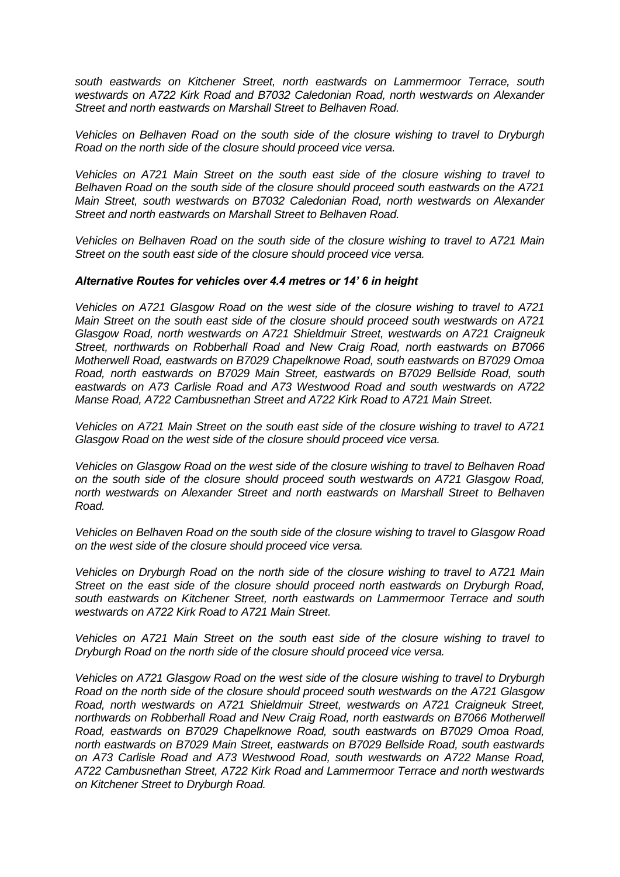*south eastwards on Kitchener Street, north eastwards on Lammermoor Terrace, south westwards on A722 Kirk Road and B7032 Caledonian Road, north westwards on Alexander Street and north eastwards on Marshall Street to Belhaven Road.*

*Vehicles on Belhaven Road on the south side of the closure wishing to travel to Dryburgh Road on the north side of the closure should proceed vice versa.*

*Vehicles on A721 Main Street on the south east side of the closure wishing to travel to Belhaven Road on the south side of the closure should proceed south eastwards on the A721 Main Street, south westwards on B7032 Caledonian Road, north westwards on Alexander Street and north eastwards on Marshall Street to Belhaven Road.*

*Vehicles on Belhaven Road on the south side of the closure wishing to travel to A721 Main Street on the south east side of the closure should proceed vice versa.*

#### *Alternative Routes for vehicles over 4.4 metres or 14' 6 in height*

*Vehicles on A721 Glasgow Road on the west side of the closure wishing to travel to A721 Main Street on the south east side of the closure should proceed south westwards on A721 Glasgow Road, north westwards on A721 Shieldmuir Street, westwards on A721 Craigneuk Street, northwards on Robberhall Road and New Craig Road, north eastwards on B7066 Motherwell Road, eastwards on B7029 Chapelknowe Road, south eastwards on B7029 Omoa Road, north eastwards on B7029 Main Street, eastwards on B7029 Bellside Road, south eastwards on A73 Carlisle Road and A73 Westwood Road and south westwards on A722 Manse Road, A722 Cambusnethan Street and A722 Kirk Road to A721 Main Street.*

*Vehicles on A721 Main Street on the south east side of the closure wishing to travel to A721 Glasgow Road on the west side of the closure should proceed vice versa.*

*Vehicles on Glasgow Road on the west side of the closure wishing to travel to Belhaven Road on the south side of the closure should proceed south westwards on A721 Glasgow Road, north westwards on Alexander Street and north eastwards on Marshall Street to Belhaven Road.*

*Vehicles on Belhaven Road on the south side of the closure wishing to travel to Glasgow Road on the west side of the closure should proceed vice versa.*

*Vehicles on Dryburgh Road on the north side of the closure wishing to travel to A721 Main Street on the east side of the closure should proceed north eastwards on Dryburgh Road, south eastwards on Kitchener Street, north eastwards on Lammermoor Terrace and south westwards on A722 Kirk Road to A721 Main Street.*

*Vehicles on A721 Main Street on the south east side of the closure wishing to travel to Dryburgh Road on the north side of the closure should proceed vice versa.*

*Vehicles on A721 Glasgow Road on the west side of the closure wishing to travel to Dryburgh Road on the north side of the closure should proceed south westwards on the A721 Glasgow Road, north westwards on A721 Shieldmuir Street, westwards on A721 Craigneuk Street, northwards on Robberhall Road and New Craig Road, north eastwards on B7066 Motherwell Road, eastwards on B7029 Chapelknowe Road, south eastwards on B7029 Omoa Road, north eastwards on B7029 Main Street, eastwards on B7029 Bellside Road, south eastwards on A73 Carlisle Road and A73 Westwood Road, south westwards on A722 Manse Road, A722 Cambusnethan Street, A722 Kirk Road and Lammermoor Terrace and north westwards on Kitchener Street to Dryburgh Road.*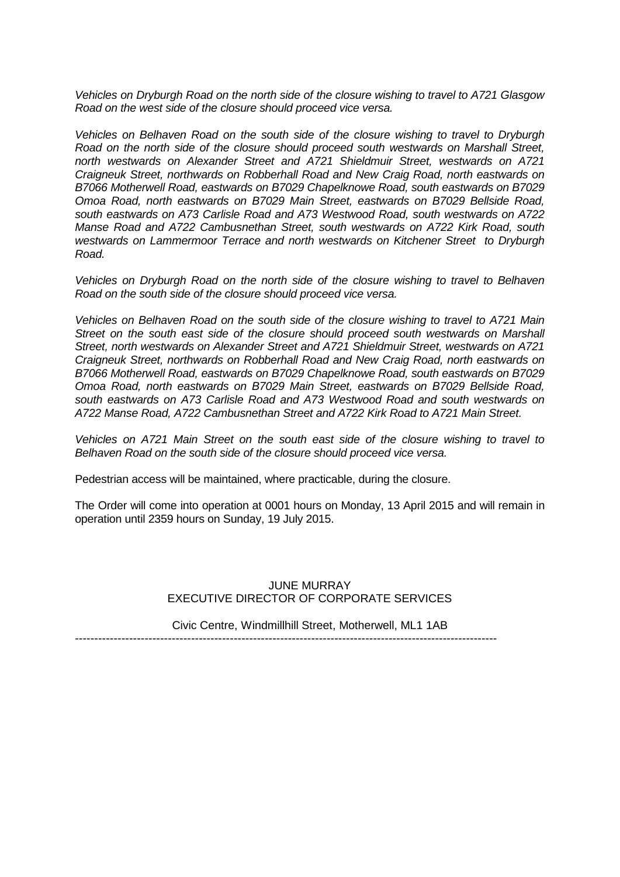*Vehicles on Dryburgh Road on the north side of the closure wishing to travel to A721 Glasgow Road on the west side of the closure should proceed vice versa.*

*Vehicles on Belhaven Road on the south side of the closure wishing to travel to Dryburgh Road on the north side of the closure should proceed south westwards on Marshall Street, north westwards on Alexander Street and A721 Shieldmuir Street, westwards on A721 Craigneuk Street, northwards on Robberhall Road and New Craig Road, north eastwards on B7066 Motherwell Road, eastwards on B7029 Chapelknowe Road, south eastwards on B7029 Omoa Road, north eastwards on B7029 Main Street, eastwards on B7029 Bellside Road, south eastwards on A73 Carlisle Road and A73 Westwood Road, south westwards on A722 Manse Road and A722 Cambusnethan Street, south westwards on A722 Kirk Road, south westwards on Lammermoor Terrace and north westwards on Kitchener Street to Dryburgh Road.*

*Vehicles on Dryburgh Road on the north side of the closure wishing to travel to Belhaven Road on the south side of the closure should proceed vice versa.*

*Vehicles on Belhaven Road on the south side of the closure wishing to travel to A721 Main Street on the south east side of the closure should proceed south westwards on Marshall Street, north westwards on Alexander Street and A721 Shieldmuir Street, westwards on A721 Craigneuk Street, northwards on Robberhall Road and New Craig Road, north eastwards on B7066 Motherwell Road, eastwards on B7029 Chapelknowe Road, south eastwards on B7029 Omoa Road, north eastwards on B7029 Main Street, eastwards on B7029 Bellside Road, south eastwards on A73 Carlisle Road and A73 Westwood Road and south westwards on A722 Manse Road, A722 Cambusnethan Street and A722 Kirk Road to A721 Main Street.*

*Vehicles on A721 Main Street on the south east side of the closure wishing to travel to Belhaven Road on the south side of the closure should proceed vice versa.*

Pedestrian access will be maintained, where practicable, during the closure.

The Order will come into operation at 0001 hours on Monday, 13 April 2015 and will remain in operation until 2359 hours on Sunday, 19 July 2015.

## JUNE MURRAY EXECUTIVE DIRECTOR OF CORPORATE SERVICES

Civic Centre, Windmillhill Street, Motherwell, ML1 1AB

-------------------------------------------------------------------------------------------------------------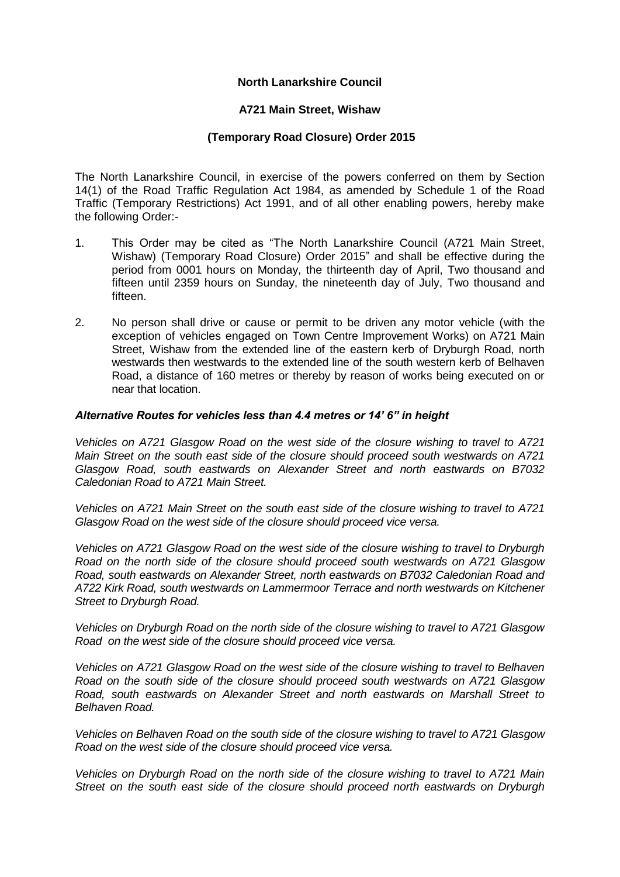## **North Lanarkshire Council**

## **A721 Main Street, Wishaw**

## **(Temporary Road Closure) Order 2015**

The North Lanarkshire Council, in exercise of the powers conferred on them by Section 14(1) of the Road Traffic Regulation Act 1984, as amended by Schedule 1 of the Road Traffic (Temporary Restrictions) Act 1991, and of all other enabling powers, hereby make the following Order:-

- 1. This Order may be cited as "The North Lanarkshire Council (A721 Main Street, Wishaw) (Temporary Road Closure) Order 2015" and shall be effective during the period from 0001 hours on Monday, the thirteenth day of April, Two thousand and fifteen until 2359 hours on Sunday, the nineteenth day of July, Two thousand and fifteen.
- 2. No person shall drive or cause or permit to be driven any motor vehicle (with the exception of vehicles engaged on Town Centre Improvement Works) on A721 Main Street, Wishaw from the extended line of the eastern kerb of Dryburgh Road, north westwards then westwards to the extended line of the south western kerb of Belhaven Road, a distance of 160 metres or thereby by reason of works being executed on or near that location.

#### *Alternative Routes for vehicles less than 4.4 metres or 14' 6" in height*

*Vehicles on A721 Glasgow Road on the west side of the closure wishing to travel to A721 Main Street on the south east side of the closure should proceed south westwards on A721 Glasgow Road, south eastwards on Alexander Street and north eastwards on B7032 Caledonian Road to A721 Main Street.*

*Vehicles on A721 Main Street on the south east side of the closure wishing to travel to A721 Glasgow Road on the west side of the closure should proceed vice versa.*

*Vehicles on A721 Glasgow Road on the west side of the closure wishing to travel to Dryburgh Road on the north side of the closure should proceed south westwards on A721 Glasgow Road, south eastwards on Alexander Street, north eastwards on B7032 Caledonian Road and A722 Kirk Road, south westwards on Lammermoor Terrace and north westwards on Kitchener Street to Dryburgh Road.*

*Vehicles on Dryburgh Road on the north side of the closure wishing to travel to A721 Glasgow Road on the west side of the closure should proceed vice versa.*

*Vehicles on A721 Glasgow Road on the west side of the closure wishing to travel to Belhaven Road on the south side of the closure should proceed south westwards on A721 Glasgow Road, south eastwards on Alexander Street and north eastwards on Marshall Street to Belhaven Road.*

*Vehicles on Belhaven Road on the south side of the closure wishing to travel to A721 Glasgow Road on the west side of the closure should proceed vice versa.*

*Vehicles on Dryburgh Road on the north side of the closure wishing to travel to A721 Main Street on the south east side of the closure should proceed north eastwards on Dryburgh*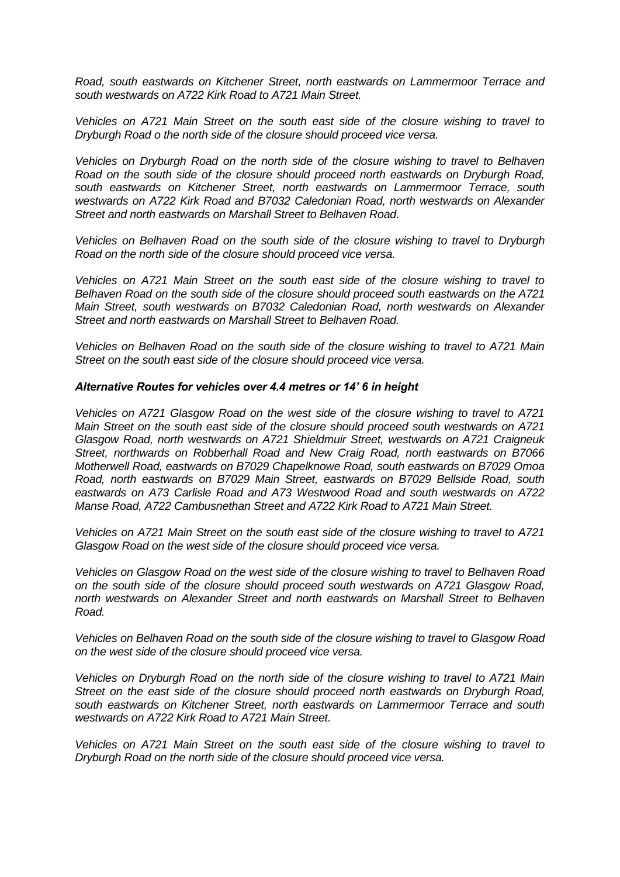*Road, south eastwards on Kitchener Street, north eastwards on Lammermoor Terrace and south westwards on A722 Kirk Road to A721 Main Street.*

*Vehicles on A721 Main Street on the south east side of the closure wishing to travel to Dryburgh Road o the north side of the closure should proceed vice versa.*

*Vehicles on Dryburgh Road on the north side of the closure wishing to travel to Belhaven Road on the south side of the closure should proceed north eastwards on Dryburgh Road, south eastwards on Kitchener Street, north eastwards on Lammermoor Terrace, south westwards on A722 Kirk Road and B7032 Caledonian Road, north westwards on Alexander Street and north eastwards on Marshall Street to Belhaven Road.*

*Vehicles on Belhaven Road on the south side of the closure wishing to travel to Dryburgh Road on the north side of the closure should proceed vice versa.*

*Vehicles on A721 Main Street on the south east side of the closure wishing to travel to Belhaven Road on the south side of the closure should proceed south eastwards on the A721 Main Street, south westwards on B7032 Caledonian Road, north westwards on Alexander Street and north eastwards on Marshall Street to Belhaven Road.*

*Vehicles on Belhaven Road on the south side of the closure wishing to travel to A721 Main Street on the south east side of the closure should proceed vice versa.*

#### *Alternative Routes for vehicles over 4.4 metres or 14' 6 in height*

*Vehicles on A721 Glasgow Road on the west side of the closure wishing to travel to A721 Main Street on the south east side of the closure should proceed south westwards on A721 Glasgow Road, north westwards on A721 Shieldmuir Street, westwards on A721 Craigneuk Street, northwards on Robberhall Road and New Craig Road, north eastwards on B7066 Motherwell Road, eastwards on B7029 Chapelknowe Road, south eastwards on B7029 Omoa Road, north eastwards on B7029 Main Street, eastwards on B7029 Bellside Road, south eastwards on A73 Carlisle Road and A73 Westwood Road and south westwards on A722 Manse Road, A722 Cambusnethan Street and A722 Kirk Road to A721 Main Street.*

*Vehicles on A721 Main Street on the south east side of the closure wishing to travel to A721 Glasgow Road on the west side of the closure should proceed vice versa.*

*Vehicles on Glasgow Road on the west side of the closure wishing to travel to Belhaven Road on the south side of the closure should proceed south westwards on A721 Glasgow Road, north westwards on Alexander Street and north eastwards on Marshall Street to Belhaven Road.*

*Vehicles on Belhaven Road on the south side of the closure wishing to travel to Glasgow Road on the west side of the closure should proceed vice versa.*

*Vehicles on Dryburgh Road on the north side of the closure wishing to travel to A721 Main Street on the east side of the closure should proceed north eastwards on Dryburgh Road, south eastwards on Kitchener Street, north eastwards on Lammermoor Terrace and south westwards on A722 Kirk Road to A721 Main Street.*

*Vehicles on A721 Main Street on the south east side of the closure wishing to travel to Dryburgh Road on the north side of the closure should proceed vice versa.*